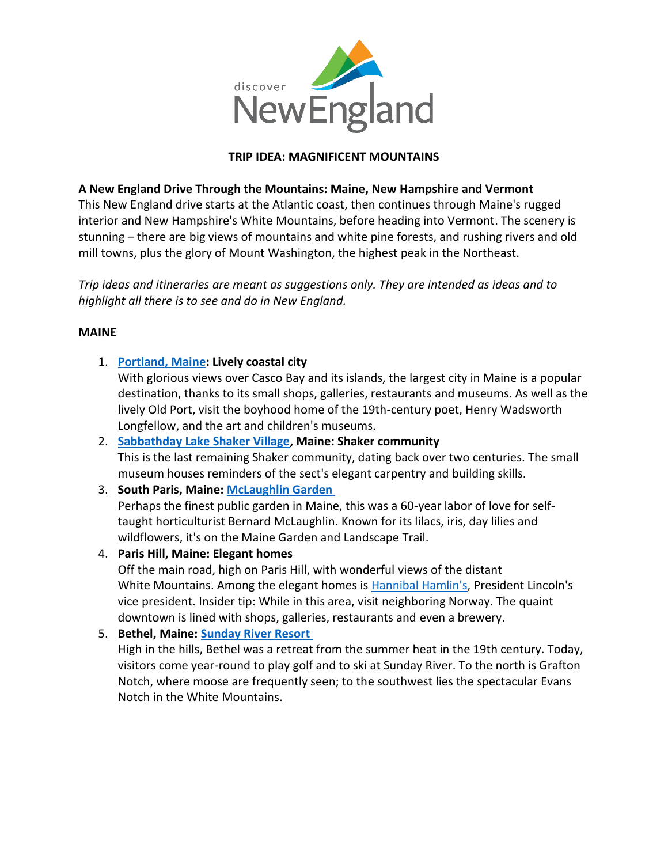

## **TRIP IDEA: MAGNIFICENT MOUNTAINS**

## **A New England Drive Through the Mountains: Maine, New Hampshire and Vermont**

This New England drive starts at the Atlantic coast, then continues through Maine's rugged interior and New Hampshire's White Mountains, before heading into Vermont. The scenery is stunning – there are big views of mountains and white pine forests, and rushing rivers and old mill towns, plus the glory of Mount Washington, the highest peak in the Northeast.

*Trip ideas and itineraries are meant as suggestions only. They are intended as ideas and to highlight all there is to see and do in New England.*

#### **MAINE**

1. **[Portland, Maine:](https://visitmaine.com/places-to-go/greater-portland-and-casco-bay) Lively coastal city**

With glorious views over Casco Bay and its islands, the largest city in Maine is a popular destination, thanks to its small shops, galleries, restaurants and museums. As well as the lively Old Port, visit the boyhood home of the 19th-century poet, Henry Wadsworth Longfellow, and the art and children's museums.

- 2. **Sabbathday [Lake Shaker Village,](https://visitmaine.com/organization/sabbathday-lake-shaker-village/3752a328-2541-4c90-9fa0-f92eb1cea89d) Maine: Shaker community** This is the last remaining Shaker community, dating back over two centuries. The small museum houses reminders of the sect's elegant carpentry and building skills.
- 3. **South Paris, Maine: [McLaughlin Garden](https://visitmaine.com/organization/mclaughlin-foundation-garden-horticultural-center/77efdc6d-da5d-42f8-9577-7f92752358d5)**

Perhaps the finest public garden in Maine, this was a 60-year labor of love for selftaught horticulturist Bernard McLaughlin. Known for its lilacs, iris, day lilies and wildflowers, it's on the Maine Garden and Landscape Trail.

4. **Paris Hill, Maine: Elegant homes** Off the main road, high on Paris Hill, with wonderful views of the distant White Mountains. Among the elegant homes is [Hannibal Hamlin's,](https://visitmaine.com/organization/hamlin-memorial-library-museum/f0a59661-2cca-4536-9fd5-d39f7c2d0719) President Lincoln's vice president. Insider tip: While in this area, visit neighboring Norway. The quaint

downtown is lined with shops, galleries, restaurants and even a brewery.

5. **Bethel, Maine: [Sunday River Resort](https://visitmaine.com/organization/sunday-river-resort/cf0e8220-1273-40ca-8df2-f769c4a2a17b)**

High in the hills, Bethel was a retreat from the summer heat in the 19th century. Today, visitors come year-round to play golf and to ski at Sunday River. To the north is Grafton Notch, where moose are frequently seen; to the southwest lies the spectacular Evans Notch in the White Mountains.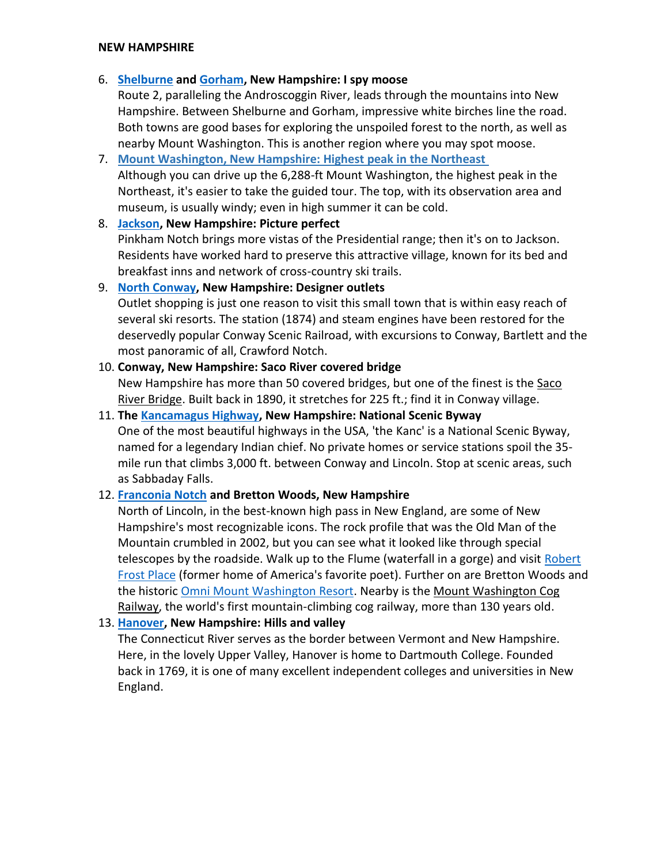#### **NEW HAMPSHIRE**

### 6. **[Shelburne](http://www.shelburnenh.com/) and [Gorham,](https://gorhamnewhampshire.com/) New Hampshire: I spy moose**

Route 2, paralleling the Androscoggin River, leads through the mountains into New Hampshire. Between Shelburne and Gorham, impressive white birches line the road. Both towns are good bases for exploring the unspoiled forest to the north, as well as nearby Mount Washington. This is another region where you may spot moose.

#### 7. **[Mount Washington, New Hampshire: Highest peak in the Northeast](http://www.mountwashington.org/)**

Although you can drive up the 6,288-ft Mount Washington, the highest peak in the Northeast, it's easier to take the guided tour. The top, with its observation area and museum, is usually windy; even in high summer it can be cold.

### 8. **[Jackson,](https://www.visitwhitemountains.com/towns/jackson/) New Hampshire: Picture perfect**

Pinkham Notch brings more vistas of the Presidential range; then it's on to Jackson. Residents have worked hard to preserve this attractive village, known for its bed and breakfast inns and network of cross-country ski trails.

## 9. **[North Conway,](http://www.northconwayvillage.net/) New Hampshire: Designer outlets**

Outlet shopping is just one reason to visit this small town that is within easy reach of several ski resorts. The station (1874) and steam engines have been restored for the deservedly popular Conway Scenic Railroad, with excursions to Conway, Bartlett and the most panoramic of all, Crawford Notch.

## 10. **Conway, New Hampshire: Saco River covered bridge**

New Hampshire has more than 50 covered bridges, but one of the finest is the Saco [River Bridge.](http://www.nh.gov/nhdhr/bridges/p91.html) Built back in 1890, it stretches for 225 ft.; find it in Conway village.

# 11. **The [Kancamagus Highway,](https://www.fhwa.dot.gov/byways/byways/2458) New Hampshire: National Scenic Byway** One of the most beautiful highways in the USA, 'the Kanc' is a National Scenic Byway, named for a legendary Indian chief. No private homes or service stations spoil the 35 mile run that climbs 3,000 ft. between Conway and Lincoln. Stop at scenic areas, such as Sabbaday Falls.

## 12. **[Franconia Notch](https://www.nhstateparks.org/visit/state-parks/franconia-notch-state-park) and Bretton Woods, New Hampshire**

North of Lincoln, in the best-known high pass in New England, are some of New Hampshire's most recognizable icons. The rock profile that was the Old Man of the Mountain crumbled in 2002, but you can see what it looked like through special telescopes by the roadside. Walk up to the Flume (waterfall in a gorge) and visit Robert [Frost Place](https://frostplace.org/site/) (former home of America's favorite poet). Further on are Bretton Woods and the historic [Omni Mount Washington Resort](https://www.visitnh.gov/lodging/8542/omni-mount-washington-resort?ref=12973). Nearby is the [Mount Washington Cog](http://www.thecog.com/)  [Railway,](http://www.thecog.com/) the world's first mountain-climbing cog railway, more than 130 years old.

## 13. **[Hanover,](https://www.hanovernh.org/discover-hanover) New Hampshire: Hills and valley**

The Connecticut River serves as the border between Vermont and New Hampshire. Here, in the lovely Upper Valley, Hanover is home to Dartmouth College. Founded back in 1769, it is one of many excellent independent colleges and universities in New England.